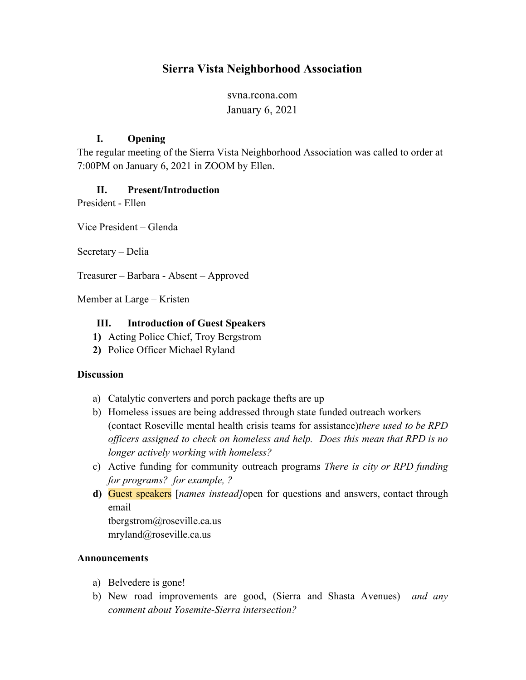# **Sierra Vista Neighborhood Association**

svna.rcona.com January 6, 2021

### **I. Opening**

The regular meeting of the Sierra Vista Neighborhood Association was called to order at 7:00PM on January 6, 2021 in ZOOM by Ellen.

# **II. Present/Introduction**

President - Ellen

Vice President – Glenda

Secretary – Delia

Treasurer – Barbara - Absent – Approved

Member at Large – Kristen

### **III. Introduction of Guest Speakers**

- **1)** Acting Police Chief, Troy Bergstrom
- **2)** Police Officer Michael Ryland

### **Discussion**

- a) Catalytic converters and porch package thefts are up
- b) Homeless issues are being addressed through state funded outreach workers (contact Roseville mental health crisis teams for assistance)*there used to be RPD officers assigned to check on homeless and help. Does this mean that RPD is no longer actively working with homeless?*
- c) Active funding for community outreach programs *There is city or RPD funding for programs? for example, ?*
- **d)** Guest speakers [*names instead]*open for questions and answers, contact through email

tbergstrom@roseville.ca.us mryland@roseville.ca.us

#### **Announcements**

- a) Belvedere is gone!
- b) New road improvements are good, (Sierra and Shasta Avenues) *and any comment about Yosemite-Sierra intersection?*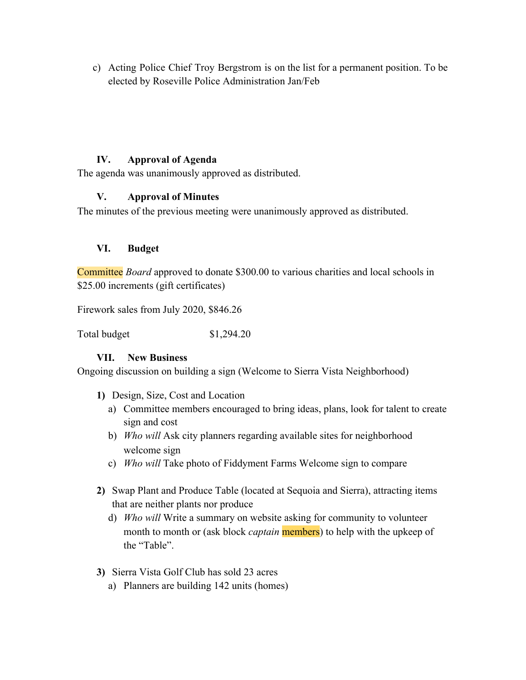c) Acting Police Chief Troy Bergstrom is on the list for a permanent position. To be elected by Roseville Police Administration Jan/Feb

# **IV. Approval of Agenda**

The agenda was unanimously approved as distributed.

# **V. Approval of Minutes**

The minutes of the previous meeting were unanimously approved as distributed.

# **VI. Budget**

Committee *Board* approved to donate \$300.00 to various charities and local schools in \$25.00 increments (gift certificates)

Firework sales from July 2020, \$846.26

Total budget \$1,294.20

### **VII. New Business**

Ongoing discussion on building a sign (Welcome to Sierra Vista Neighborhood)

- **1)** Design, Size, Cost and Location
	- a) Committee members encouraged to bring ideas, plans, look for talent to create sign and cost
	- b) *Who will* Ask city planners regarding available sites for neighborhood welcome sign
	- c) *Who will* Take photo of Fiddyment Farms Welcome sign to compare
- **2)** Swap Plant and Produce Table (located at Sequoia and Sierra), attracting items that are neither plants nor produce
	- d) *Who will* Write a summary on website asking for community to volunteer month to month or (ask block *captain* members) to help with the upkeep of the "Table".
- **3)** Sierra Vista Golf Club has sold 23 acres
	- a) Planners are building 142 units (homes)